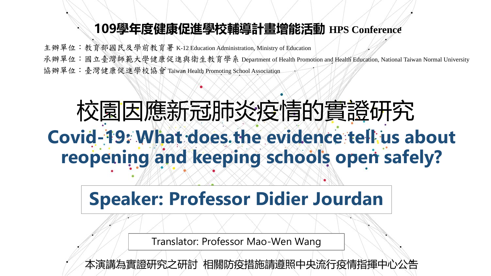#### **109學年度健康促進學校輔導計畫增能活動 HPS Conference**

主辦單位:教育部國民及學前教育署 K-12 Education Administration, Ministry of Education 承辦單位:國立臺灣師範大學健康促進與衛生教育學系 Department of Health Promotion and Health Education, National Taiwan Normal University 協辦單位:臺灣健康促進學校協會 Taiwan Health Promoting School Association

# 校園因應新冠肺炎疫情的實證研究 Covid-19: What does the evidence tell us about **reopening and keeping schools open safely?**

## **Speaker: Professor Didier Jourdan**

Translator: Professor Mao-Wen Wang

本演講為實證研究之研討 相關防疫措施請遵照中央流行疫情指揮中心公告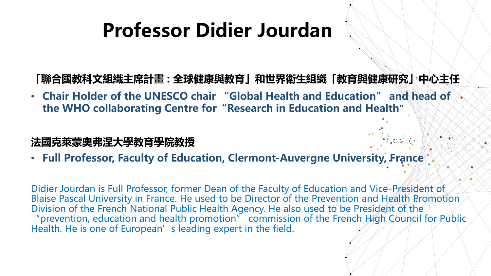## **Professor Didier Jourdan**

**「聯合國教科文組織主席計畫 : 全球健康與教育」和世界衛生組織「教育與健康研究」中心主任**

• **Chair Holder of the UNESCO chair "Global Health and Education" and head of the WHO collaborating Centre for"Research in Education and Health"**

#### **法國克萊蒙奧弗涅大學教育學院教授**

• **Full Professor, Faculty of Education, Clermont-Auvergne University, France**

Didier Jourdan is Full Professor, former Dean of the Faculty of Education and Vice-President of Blaise Pascal University in France. He used to be Director of the Prevention and Health Promotion Division of the French National Public Health Agency. He also used to be President of the "prevention, education and health promotion" commission of the French High Council for Public Health. He is one of European's leading expert in the field.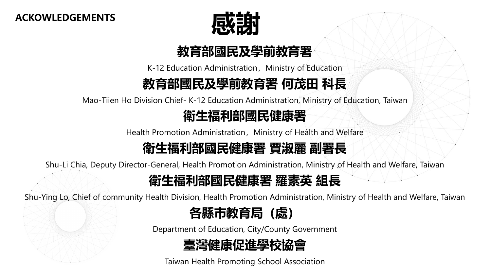**ACKOWLEDGEMENTS**



#### **教育部國民及學前教育署**

K-12 Education Administration, Ministry of Education

#### **教育部國民及學前教育署 何茂田 科長**

Mao-Tiien Ho Division Chief- K-12 Education Administration, Ministry of Education, Taiwan

#### **衛生福利部國民健康署**

Health Promotion Administration, Ministry of Health and Welfare

#### **衛生福利部國民健康署 賈淑麗 副署長**

Shu-Li Chia, Deputy Director-General, Health Promotion Administration, Ministry of Health and Welfare, Taiwan

#### **衛生福利部國民健康署 羅素英 組長**

Shu-Ying Lo, Chief of community Health Division, Health Promotion Administration, Ministry of Health and Welfare, Taiwan



Department of Education, City/County Government

#### **臺灣健康促進學校協會**

Taiwan Health Promoting School Association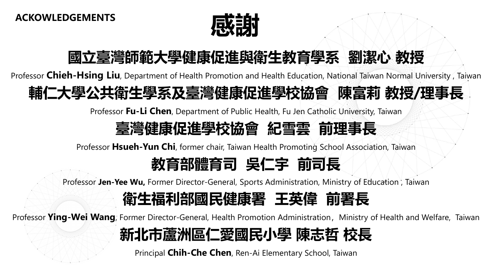

### **國立臺灣師範大學健康促進與衛生教育學系 劉潔心 教授**

Professor **Chieh-Hsing Liu**, Department of Health Promotion and Health Education, National Taiwan Normal University , Taiwan

### **輔仁大學公共衛生學系及臺灣健康促進學校協會 陳富莉 教授/理事長**

Professor **Fu-Li Chen**, Department of Public Health, Fu Jen Catholic University, Taiwan

#### **臺灣健康促進學校協會 紀雪雲 前理事長**

Professor **Hsueh-Yun Chi**, former chair, Taiwan Health Promoting School Association, Taiwan

### **教育部體育司 吳仁宇 前司長**

Professor **Jen-Yee Wu,** Former Director-General, Sports Administration, Ministry of Education , Taiwan

#### **衛生福利部國民健康署 王英偉 前署長**

Professor **Ying-Wei Wang**, Former Director-General, Health Promotion Administration, Ministry of Health and Welfare, Taiwan

### **新北市蘆洲區仁愛國民小學 陳志哲 校長**

Principal **Chih-Che Chen**, Ren-Ai Elementary School, Taiwan